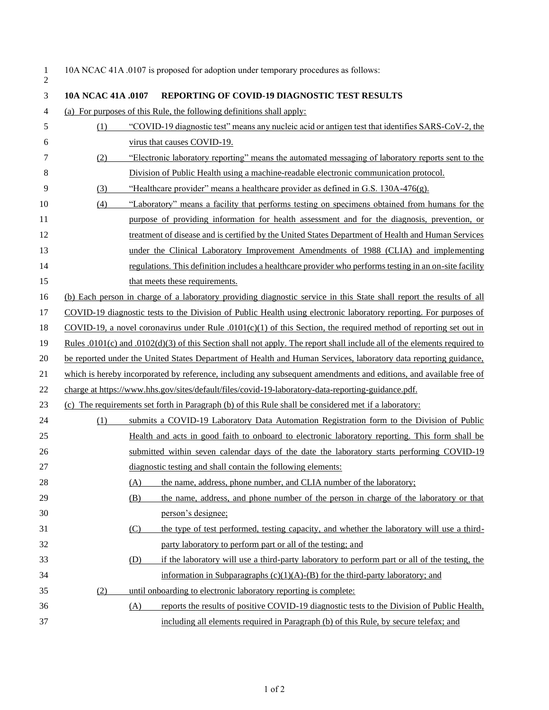| 1 10A NCAC 41A .0107 is proposed for adoption under temporary procedures as follows: |
|--------------------------------------------------------------------------------------|
|                                                                                      |

| 3  | 10A NCAC 41A .0107 | REPORTING OF COVID-19 DIAGNOSTIC TEST RESULTS                                                                            |
|----|--------------------|--------------------------------------------------------------------------------------------------------------------------|
| 4  |                    | (a) For purposes of this Rule, the following definitions shall apply:                                                    |
| 5  | (1)                | "COVID-19 diagnostic test" means any nucleic acid or antigen test that identifies SARS-CoV-2, the                        |
| 6  |                    | virus that causes COVID-19.                                                                                              |
| 7  | (2)                | "Electronic laboratory reporting" means the automated messaging of laboratory reports sent to the                        |
| 8  |                    | Division of Public Health using a machine-readable electronic communication protocol.                                    |
| 9  | (3)                | "Healthcare provider" means a healthcare provider as defined in G.S. 130A-476(g).                                        |
| 10 | (4)                | "Laboratory" means a facility that performs testing on specimens obtained from humans for the                            |
| 11 |                    | purpose of providing information for health assessment and for the diagnosis, prevention, or                             |
| 12 |                    | treatment of disease and is certified by the United States Department of Health and Human Services                       |
| 13 |                    | under the Clinical Laboratory Improvement Amendments of 1988 (CLIA) and implementing                                     |
| 14 |                    | regulations. This definition includes a healthcare provider who performs testing in an on-site facility                  |
| 15 |                    | that meets these requirements.                                                                                           |
| 16 |                    | (b) Each person in charge of a laboratory providing diagnostic service in this State shall report the results of all     |
| 17 |                    | COVID-19 diagnostic tests to the Division of Public Health using electronic laboratory reporting. For purposes of        |
| 18 |                    | COVID-19, a novel coronavirus under Rule $.0101(c)(1)$ of this Section, the required method of reporting set out in      |
| 19 |                    | Rules .0101(c) and .0102(d)(3) of this Section shall not apply. The report shall include all of the elements required to |
| 20 |                    | be reported under the United States Department of Health and Human Services, laboratory data reporting guidance,         |
| 21 |                    | which is hereby incorporated by reference, including any subsequent amendments and editions, and available free of       |
| 22 |                    | charge at https://www.hhs.gov/sites/default/files/covid-19-laboratory-data-reporting-guidance.pdf.                       |
| 23 |                    | (c) The requirements set forth in Paragraph (b) of this Rule shall be considered met if a laboratory:                    |
| 24 | (1)                | submits a COVID-19 Laboratory Data Automation Registration form to the Division of Public                                |
| 25 |                    | Health and acts in good faith to onboard to electronic laboratory reporting. This form shall be                          |
| 26 |                    | submitted within seven calendar days of the date the laboratory starts performing COVID-19                               |
| 27 |                    | diagnostic testing and shall contain the following elements:                                                             |
| 28 |                    | the name, address, phone number, and CLIA number of the laboratory;<br>(A)                                               |
| 29 |                    | the name, address, and phone number of the person in charge of the laboratory or that<br>(B)                             |
| 30 |                    | person's designee;                                                                                                       |
| 31 |                    | the type of test performed, testing capacity, and whether the laboratory will use a third-<br>(C)                        |
| 32 |                    | party laboratory to perform part or all of the testing; and                                                              |
| 33 |                    | if the laboratory will use a third-party laboratory to perform part or all of the testing, the<br>(D)                    |
| 34 |                    | information in Subparagraphs $(c)(1)(A)$ -(B) for the third-party laboratory; and                                        |
| 35 | (2)                | until onboarding to electronic laboratory reporting is complete:                                                         |
| 36 |                    | reports the results of positive COVID-19 diagnostic tests to the Division of Public Health,<br>(A)                       |
| 37 |                    | including all elements required in Paragraph (b) of this Rule, by secure telefax; and                                    |
|    |                    |                                                                                                                          |